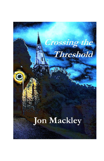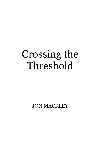## Crossing the Threshold

JON MACKLEY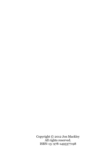Copyright © 2012 Jon Mackley All rights reserved. ISBN-13: 978-1495377198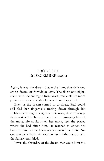## **PROLOGUE** 16 DECEMBER 2000

Again, it was the dream that woke him; that delicious erotic dream of forbidden love. The illicit one-nightstand with the colleague from work, made all the more passionate because it should never have happened.

Even as the dream started to dissipate, Paul could still feel her fingernails tracing down through his stubble, caressing his ear, down his neck, down through the forest of his chest hair and then … arousing him all the more. He could smell her musk, feel the places where she had bitten him. He reached to entice her back to him, but he knew no one would be there. No one was ever there. As soon as his hands reached out, the fantasy crumbled.

It was the absurdity of the dream that woke him: the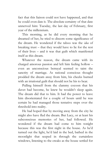fact that this liaison could not have happened, and that he could even date it. The absolute certainty of that date unnerved him: Tuesday, the last day of February, first year of the millennium.

This morning, as he did every morning that he dreamed of her, he tried to discern some significance of the dream. He wondered if the taboo was the *idea* of breaking trust – that they would have to lie for the rest of their lives – and it was that guilt which manifested itself as this dream.

Whatever the reason, the dream came with its charged amorous passion and left him feeling hollow – even an unconscious betrayal seemed to taint the sanctity of marriage. As rational conscious thought prodded the dream away from him, his cheeks burned with an irrational guilt that should not be his to bear.

Pulling himself from the clammy cocoon that his duvet had become, he knew he wouldn't sleep again. The dream did that to him. It had the power to leave him disorientated for a couple of hours until he was certain he had managed those tentative steps over the threshold into reality.

He had hoped that by moving away from the city he might also have fled the dream. But Lucy, or at least his subconscious memories of her, had followed. He wondered if the dream had come to him tonight because this was the first night in the house. As he'd turned out the light, he'd laid in the bed, bathed in the moonlight that seeped in through the curtainless windows, listening to the creaks as the house settled for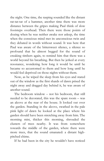the night. One time, the rasping sounded like the distant rat-tat-tat of a hammer, another time there was more distance between the gripes making Paul think of slow footsteps overhead. Then there were those points of dozing when he was neither awake nor asleep, the time when the conscious mind met its unconscious twin and they debated in words without sound. It was here that Paul was aware of the bittersweet silence, a silence so profound that he almost begged for the sound of creaking timbers again, to remind him that there was a world beyond his breathing. But then he jerked at every resonance, wondering how long it would be until he became so accustomed to them and how long until he would feel deprived on those nights without them.

Now, as he wiped the sleep from his eyes and stared out of the window as the first shards of dawn prised the night away and dragged day behind it, he was aware of another sound.

The bedroom window – not his bedroom, that still needed to be decorated, this was the spare room – was an alcove at the rear of the house. It looked out over the garden. Standing in the alcove, swathed in the pale pink light of dawn he looked at the place where his garden should have been stretching away from him. The morning mist, thicker this morning, shrouded the clusters of trees nearby. It was from somewhere towards the middle of the garden, where there were more trees, that the sound emanated: a distant highpitched chime.

If he had been in the city he wouldn't have noticed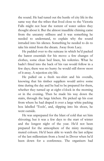the sound. He had tuned out the hustle of city life in the same way that the tribes that lived close to the Victoria Falls might not hear the torrent of water unless they thought about it. But the almost inaudible chiming came from the uncanny stillness and it was something he needed to understand, to explain why the sound intruded into his silence. Something he needed to do to take his mind from the dream. Away from Lucy.

He padded over to the suitcase in which he'd packed the barest essentials for his move: a few changes of clothes, some clean bed linen, his toiletries. What he hadn't fitted into the back of his van would follow in a few days; there was no hurry: he would still throw most of it away. A rejection city life.

He pulled on a fresh tee-shirt and his overalls, knowing that his timber suppliers would arrive some time during the day and he had to be prepared for them, whether they turned up at eight o'clock in the morning or in the evening. Then he made his way down the stairs, through the large kitchen. He picked up his coat from where he had draped it over a large white packing box labelled 'Tools', and, slipping into his shoes, he went outside.

He was unprepared for the blast of cold that set him shivering; but it was a few days to the start of winter and the longest night of the year. He'd not been prepared for the atmosphere of the misty morning: muted colours. He'd been able to watch the last eclipse of the last millennium from a hotel in Dover when he'd been down for a conference. The organisers had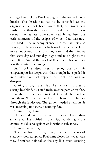arranged an 'Eclipse Break' along with the tea and lunch breaks. This break had had to be extended as the organisers had not been aware that, as Dover was further east than the foot of Cornwall, the eclipse was several minutes later than advertised. It had been the eerie moments of the eclipse of which Paul was now reminded – the uncanny silence, the cold air thick as treacle, the heavy clouds which made the actual eclipse more anticipation than anything else, and the minutes that were day and not day, night and not night at the same time. And at the heart of this time between times was the continual chiming.

Paul took a deep breath, feeling the cold air congealing in his lungs; with that thought he expelled it in a thick cloud of vapour that took too long to dissipate.

Cutting through the mist, like he was in a dream, seeing, but blind, he could make out the path at his feet, although if the stones remained, it would be hard to find them. Weeds and tangle-root choked this furrow through the landscape. The garden needed attention. It was returning to nature, becoming feral.

Ching-ching chang.

He started at the sound. It was closer than anticipated. He swirled in the mist, wondering if the chimes could echo against walls without substance.

Ching-chang-ching.

There, in front of him, a grey shadow in the sea of shadows loomed up. As Paul came closer, he saw an oak tree. Branches pointed at the sky like thick accusing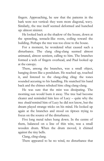fingers. Approaching, he saw that the patterns in the bark were not vertical: they were more diagonal, wavy. Similarly, the tree itself seemed deformed and hunched up: almost sinister.

He looked back at the shadow of the house, down at the sprawling, tentacle-like roots, coiling toward the building. Perhaps the tree was too close to the house.

For a moment, he wondered what caused such a disturbance. The clang cling-clang seemed almost animated, almost sentient, calling to him. The branches formed a web of fingers overhead, and Paul looked up at the canopy.

There, among the branches, was a small object, hanging down like a pendulum. He reached up, touched it, and listened to the clang-cling cling: the tones sounded accusing to his handling. He snatched his hand back and the chimes rebuked him: cling clang-clang.

He was sure that the mist was dissipating. The morning sun would burn it away. The tree had become clearer and reminded him less of Lucy – quite why the tree *should* remind him of Lucy he did not know, but the dream played strange tricks on his mind. He looked up again at the branches and stood on tiptoes trying to focus on the source of the disturbance.

Five long metal tubes hung down. In the centre of them, balanced on a line of thin wire, was a small wooden drum. When the drum moved, it chimed against the tiny bells.

Clang, cling-clang.

There appeared to be no wind, no disturbance that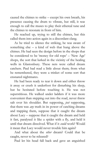caused the chimes to strike – except his own breath, his presence causing the drum to vibrate, but still, it was enough to call the muses to play their ethereal tune and the chimes to resonate in front of him.

He reached up, trying to still the chimes, but this called them into action again in a discordant clang.

As he tried to silence the striking, he was aware of something else  $-$  a kind of web that hung above the chimes. He had seen the design before in the shops that he considered to be 'money for old rope' – 'New Age' shops, the sort that lurked in the vicinity of the healing wells in Glastonbury. These nets were called dream catchers. Paul had read a little about them; from what he remembered, they were a trinket of some sort that ensnared nightmares.

He had been ready to tear it down and either throw it away or crush it underfoot for disturbing his sleep, but he hesitated before touching it. He was not superstitious. He walked under ladders if it was more convenient than stepping out into the road, never threw salt over his shoulder. But supposing, *just* supposing, that there was *any* truth in its power of catching dreams and trapping them, suppose that it caught the dream about Lucy – suppose that it caught the dream and held it fast, paralysed it like a spider with a fly, and held it until that dream dissolved. What if it *could* work? Would it mean that Lucy would never trouble him again?

And what about the *other* dream? Could that be caught, never to be released?

Paul let his head fall back and gave an anguished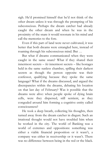sigh. He'd promised himself that he'd not think of the other dream unless it was through the prompting of his subconscious. Perhaps the dream catcher had already caught the other dream and when he was in the proximity of the snare it would resonate in his mind and call the memories to the fore.

Even if this part of land were never cultivated, it was better that both dreams were entangled here, instead of roaming through his subconscious mind. But …

But what if dreams communicated when they were caught in the same snare? What if they shared their innermost secrets – *his* innermost secrets – like hostages held in the same sunless chamber, spilling their darkest secrets as though the person opposite was their confessor, qualifying because they spoke the same language? What if the dreams discussed, and argued the discrepancies within the dreams, debating his location on that last day of February? Was it possible that the dreams were alive: when people spoke of dying brain cells, were they dispersed, still sentient, as they congealed around him forming a cognitive entity called consciousness?

He took a deep breath, collecting his thoughts, then turned away from the dream catcher in disgust. Such an irrational thought would not have troubled him when he worked in the city. The world of Banking was a world of extremes and oppositions: something was either a viable financial proposition or it wasn't, a company was either in receivership or it wasn't. There was no difference between being in the red or the black.